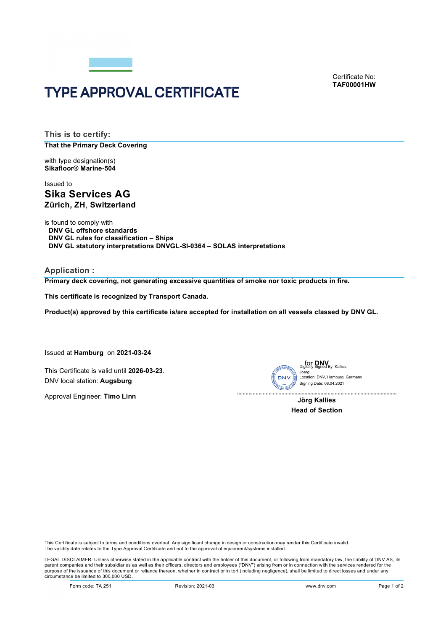

Certificate No: **TAF00001HW**

# TYPE APPROVAL CERTIFICATE

**This is to certify: That the Primary Deck Covering**

with type designation(s) **Sikafloor® Marine-504**

## Issued to **Sika Services AG Zürich, ZH**, **Switzerland**

is found to comply with **DNV GL offshore standards DNV GL rules for classification – Ships DNV GL statutory interpretations DNVGL-SI-0364 – SOLAS interpretations**

**Application :**

**Primary deck covering, not generating excessive quantities of smoke nor toxic products in fire.** 

**This certificate is recognized by Transport Canada.**

**Product(s) approved by this certificate is/are accepted for installation on all vessels classed by DNV GL.**

Issued at **Hamburg** on **2021-03-24**

This Certificate is valid until **2026-03-23**. DNV local station: **Augsburg**

Approval Engineer: **Timo Linn**



Signing Date: 08.04.2021 on: DNV, Hamburg, Germany

**Jörg Kallies Head of Section**

This Certificate is subject to terms and conditions overleaf. Any significant change in design or construction may render this Certificate invalid.<br>The validity date relates to the Type Approval Certificate and not to the

LEGAL DISCLAIMER: Unless otherwise stated in the applicable contract with the holder of this document, or following from mandatory law, the liability of DNV AS, its parent companies and their subsidiaries as well as their officers, directors and employees ("DNV") arising from or in connection with the services rendered for the purpose of the issuance of this document or reliance thereon, whether in contract or in tort (including negligence), shall be limited to direct losses and under any circumstance be limited to 300,000 USD.